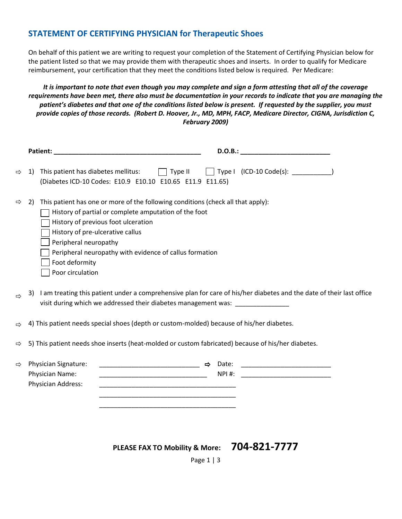### **STATEMENT OF CERTIFYING PHYSICIAN for Therapeutic Shoes**

On behalf of this patient we are writing to request your completion of the Statement of Certifying Physician below for the patient listed so that we may provide them with therapeutic shoes and inserts. In order to qualify for Medicare reimbursement, your certification that they meet the conditions listed below is required. Per Medicare:

*It is important to note that even though you may complete and sign a form attesting that all of the coverage requirements have been met, there also must be documentation in your records to indicate that you are managing the patient's diabetes and that one of the conditions listed below is present. If requested by the supplier, you must provide copies of those records. (Robert D. Hoover, Jr., MD, MPH, FACP, Medicare Director, CIGNA, Jurisdiction C, February 2009)*

| Patient: North Communication of the Communication of the Communication of the Communication of the Communication of the Communication of the Communication of the Communication of the Communication of the Communication of t | D.O.B.:                                                                                                                                                                                                                                                                                                                                                                                                                                                                                                                                                                                                                                                                                                                       |
|--------------------------------------------------------------------------------------------------------------------------------------------------------------------------------------------------------------------------------|-------------------------------------------------------------------------------------------------------------------------------------------------------------------------------------------------------------------------------------------------------------------------------------------------------------------------------------------------------------------------------------------------------------------------------------------------------------------------------------------------------------------------------------------------------------------------------------------------------------------------------------------------------------------------------------------------------------------------------|
| This patient has diabetes mellitus:<br>1)                                                                                                                                                                                      |                                                                                                                                                                                                                                                                                                                                                                                                                                                                                                                                                                                                                                                                                                                               |
| 2)<br>History of previous foot ulceration<br>History of pre-ulcerative callus<br>Peripheral neuropathy<br>Foot deformity<br>Poor circulation                                                                                   |                                                                                                                                                                                                                                                                                                                                                                                                                                                                                                                                                                                                                                                                                                                               |
| 3)                                                                                                                                                                                                                             | I am treating this patient under a comprehensive plan for care of his/her diabetes and the date of their last office                                                                                                                                                                                                                                                                                                                                                                                                                                                                                                                                                                                                          |
|                                                                                                                                                                                                                                |                                                                                                                                                                                                                                                                                                                                                                                                                                                                                                                                                                                                                                                                                                                               |
|                                                                                                                                                                                                                                |                                                                                                                                                                                                                                                                                                                                                                                                                                                                                                                                                                                                                                                                                                                               |
| <b>Physician Signature:</b><br>Physician Name:<br>Physician Address:                                                                                                                                                           | NPI #:                                                                                                                                                                                                                                                                                                                                                                                                                                                                                                                                                                                                                                                                                                                        |
|                                                                                                                                                                                                                                | $\Box$ Type II<br>(Diabetes ICD-10 Codes: E10.9 E10.10 E10.65 E11.9 E11.65)<br>This patient has one or more of the following conditions (check all that apply):<br>History of partial or complete amputation of the foot<br>Peripheral neuropathy with evidence of callus formation<br>visit during which we addressed their diabetes management was: _________________<br>4) This patient needs special shoes (depth or custom-molded) because of his/her diabetes.<br>5) This patient needs shoe inserts (heat-molded or custom fabricated) because of his/her diabetes.<br>——————————————— ⇒ Date:<br><u> 1989 - Johann Stein, mars an deutscher Stein und der Stein und der Stein und der Stein und der Stein und der</u> |

**PLEASE FAX TO Mobility & More: 704-821-7777**

Page 1 | 3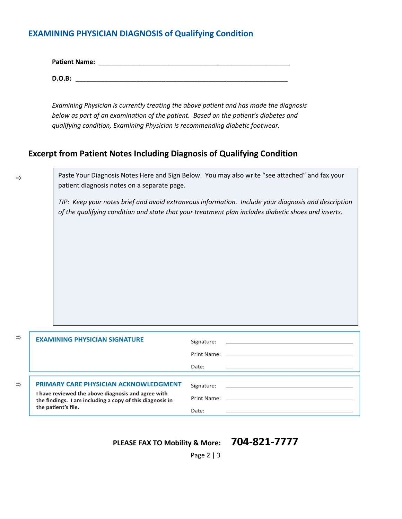## **EXAMINING PHYSICIAN DIAGNOSIS of Qualifying Condition**

| <b>Patient Name:</b> |  |
|----------------------|--|
|                      |  |

**D.O.B:** \_\_\_\_\_\_\_\_\_\_\_\_\_\_\_\_\_\_\_\_\_\_\_\_\_\_\_\_\_\_\_\_\_\_\_\_\_\_\_\_\_\_\_\_\_\_\_\_\_\_\_\_\_\_\_\_\_\_\_

*Examining Physician is currently treating the above patient and has made the diagnosis below as part of an examination of the patient. Based on the patient's diabetes and qualifying condition, Examining Physician is recommending diabetic footwear.*

### **Excerpt from Patient Notes Including Diagnosis of Qualifying Condition**

 $\Rightarrow$ 

Paste Your Diagnosis Notes Here and Sign Below. You may also write "see attached" and fax your patient diagnosis notes on a separate page.

*TIP: Keep your notes brief and avoid extraneous information. Include your diagnosis and description of the qualifying condition and state that your treatment plan includes diabetic shoes and inserts.*

| ⇨ | <b>EXAMINING PHYSICIAN SIGNATURE</b>                                                                                                                                                  | Signature:<br>Print Name: 2008<br>Date:       |
|---|---------------------------------------------------------------------------------------------------------------------------------------------------------------------------------------|-----------------------------------------------|
| ⇨ | <b>PRIMARY CARE PHYSICIAN ACKNOWLEDGMENT</b><br>I have reviewed the above diagnosis and agree with<br>the findings. I am including a copy of this diagnosis in<br>the patient's file. | Signature:<br>Print Name: __________<br>Date: |

# **PLEASE FAX TO Mobility & More: 704-821-7777**

Page 2 | 3